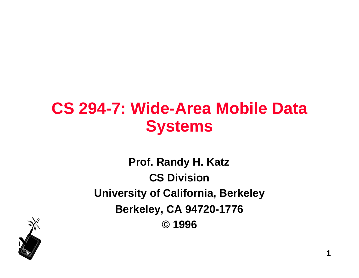## **CS 294-7: Wide-Area Mobile Data Systems**

**Prof. Randy H. Katz CS Division University of California, Berkeley Berkeley, CA 94720-1776 © 1996**

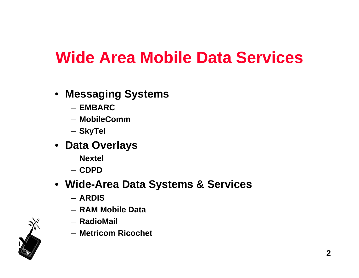## **Wide Area Mobile Data Services**

- **Messaging Systems**
	- **EMBARC**
	- **MobileComm**
	- **SkyTel**
- **Data Overlays**
	- **Nextel**
	- **CDPD**
- **Wide-Area Data Systems & Services**
	- **ARDIS**
	- **RAM Mobile Data**
	- **RadioMail**
	- **Metricom Ricochet**

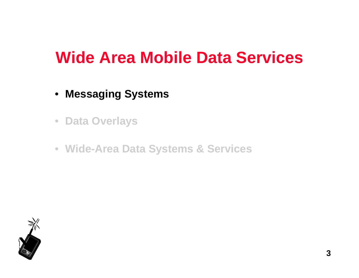### **Wide Area Mobile Data Services**

- **Messaging Systems**
- **Data Overlays**
- **Wide-Area Data Systems & Services**

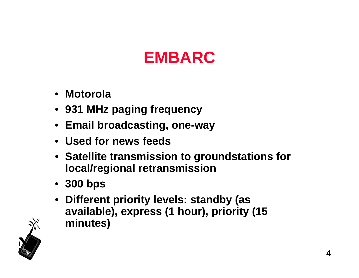# **EMBARC**

- **Motorola**
- **931 MHz paging frequency**
- **Email broadcasting, one-way**
- **Used for news feeds**
- **Satellite transmission to groundstations for local/regional retransmission**
- **300 bps**
- **Different priority levels: standby (as available), express (1 hour), priority (15 minutes)**

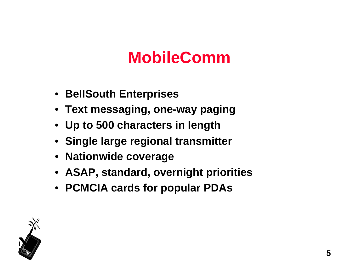# **MobileComm**

- **BellSouth Enterprises**
- **Text messaging, one-way paging**
- **Up to 500 characters in length**
- **Single large regional transmitter**
- **Nationwide coverage**
- **ASAP, standard, overnight priorities**
- **PCMCIA cards for popular PDAs**

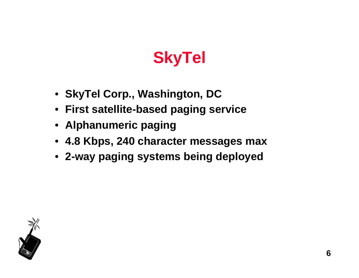# **SkyTel**

- **SkyTel Corp., Washington, DC**
- **First satellite-based paging service**
- **Alphanumeric paging**
- **4.8 Kbps, 240 character messages max**
- **2-way paging systems being deployed**

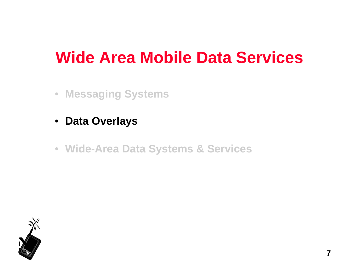## **Wide Area Mobile Data Services**

- **Messaging Systems**
- **Data Overlays**
- **Wide-Area Data Systems & Services**

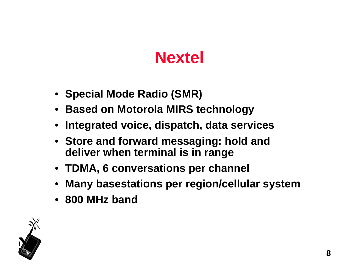# **Nextel**

- **Special Mode Radio (SMR)**
- **Based on Motorola MIRS technology**
- **Integrated voice, dispatch, data services**
- **Store and forward messaging: hold and deliver when terminal is in range**
- **TDMA, 6 conversations per channel**
- **Many basestations per region/cellular system**
- **800 MHz band**

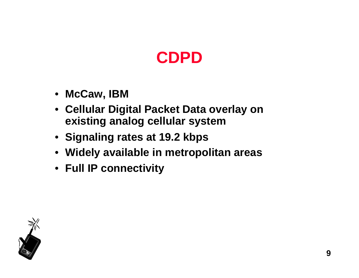# **CDPD**

- **McCaw, IBM**
- **Cellular Digital Packet Data overlay on existing analog cellular system**
- **Signaling rates at 19.2 kbps**
- **Widely available in metropolitan areas**
- **Full IP connectivity**

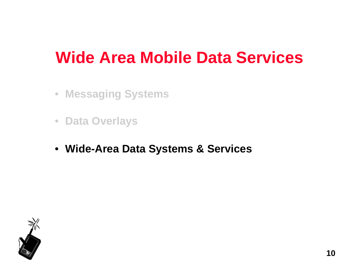## **Wide Area Mobile Data Services**

- **Messaging Systems**
- **Data Overlays**
- **Wide-Area Data Systems & Services**

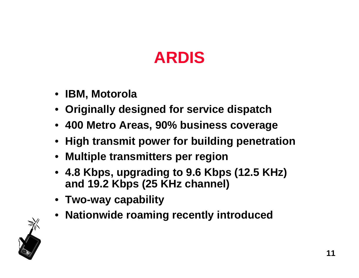# **ARDIS**

- **IBM, Motorola**
- **Originally designed for service dispatch**
- **400 Metro Areas, 90% business coverage**
- **High transmit power for building penetration**
- **Multiple transmitters per region**
- **4.8 Kbps, upgrading to 9.6 Kbps (12.5 KHz) and 19.2 Kbps (25 KHz channel)**
- **Two-way capability**
- **Nationwide roaming recently introduced**

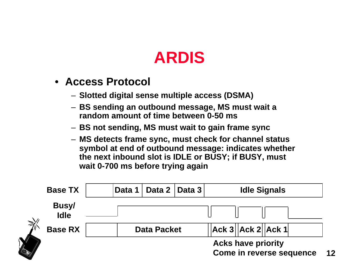## **ARDIS**

- **Access Protocol**
	- **Slotted digital sense multiple access (DSMA)**
	- **BS sending an outbound message, MS must wait a random amount of time between 0-50 ms**
	- **BS not sending, MS must wait to gain frame sync**
	- **MS detects frame sync, must check for channel status symbol at end of outbound message: indicates whether the next inbound slot is IDLE or BUSY; if BUSY, must wait 0-700 ms before trying again**

|                                                  |                                               | <b>Acks have priority</b><br><b>Come in reverse sequence</b> |        |                    |  |                       |                     | 12 |  |
|--------------------------------------------------|-----------------------------------------------|--------------------------------------------------------------|--------|--------------------|--|-----------------------|---------------------|----|--|
| $\widehat{\mathbb{Z}}_{\!\scriptscriptstyle{0}}$ | <b>Busy/</b><br><b>Idle</b><br><b>Base RX</b> |                                                              |        | <b>Data Packet</b> |  | Ack 3   Ack 2   Ack 1 |                     |    |  |
|                                                  | <b>Base TX</b>                                |                                                              | Data 1 | Data 2   Data 3    |  |                       | <b>Idle Signals</b> |    |  |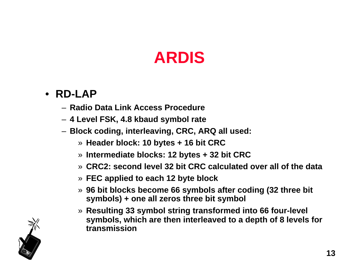# **ARDIS**

#### • **RD-LAP**

- **Radio Data Link Access Procedure**
- **4 Level FSK, 4.8 kbaud symbol rate**
- **Block coding, interleaving, CRC, ARQ all used:**
	- » **Header block: 10 bytes + 16 bit CRC**
	- » **Intermediate blocks: 12 bytes + 32 bit CRC**
	- » **CRC2: second level 32 bit CRC calculated over all of the data**
	- » **FEC applied to each 12 byte block**
	- » **96 bit blocks become 66 symbols after coding (32 three bit symbols) + one all zeros three bit symbol**
	- » **Resulting 33 symbol string transformed into 66 four-level symbols, which are then interleaved to a depth of 8 levels for transmission**

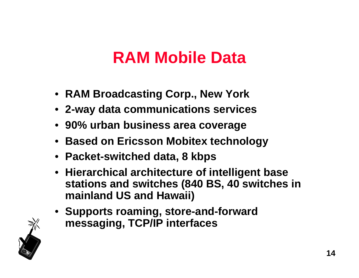## **RAM Mobile Data**

- **RAM Broadcasting Corp., New York**
- **2-way data communications services**
- **90% urban business area coverage**
- **Based on Ericsson Mobitex technology**
- **Packet-switched data, 8 kbps**
- **Hierarchical architecture of intelligent base stations and switches (840 BS, 40 switches in mainland US and Hawaii)**
- **Supports roaming, store-and-forward messaging, TCP/IP interfaces**

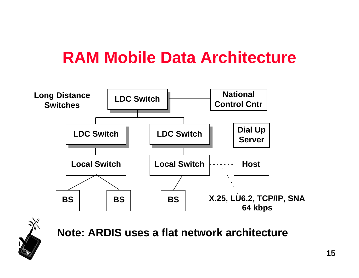## **RAM Mobile Data Architecture**





**Note: ARDIS uses a flat network architecture**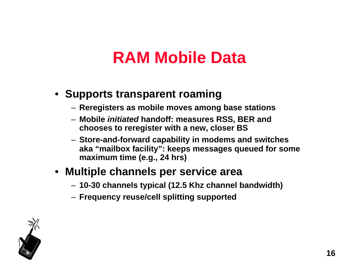## **RAM Mobile Data**

### • **Supports transparent roaming**

- **Reregisters as mobile moves among base stations**
- **Mobile initiated handoff: measures RSS, BER and chooses to reregister with a new, closer BS**
- **Store-and-forward capability in modems and switches aka "mailbox facility": keeps messages queued for some maximum time (e.g., 24 hrs)**

### • **Multiple channels per service area**

- **10-30 channels typical (12.5 Khz channel bandwidth)**
- **Frequency reuse/cell splitting supported**

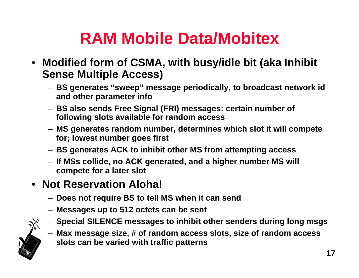- **Modified form of CSMA, with busy/idle bit (aka Inhibit Sense Multiple Access)**
	- **BS generates "sweep" message periodically, to broadcast network id and other parameter info**
	- **BS also sends Free Signal (FRI) messages: certain number of following slots available for random access**
	- **MS generates random number, determines which slot it will compete for; lowest number goes first**
	- **BS generates ACK to inhibit other MS from attempting access**
	- **If MSs collide, no ACK generated, and a higher number MS will compete for a later slot**

### • **Not Reservation Aloha!**

- **Does not require BS to tell MS when it can send**
- **Messages up to 512 octets can be sent**
- **Special SILENCE messages to inhibit other senders during long msgs**
- **Max message size, # of random access slots, size of random access slots can be varied with traffic patterns**

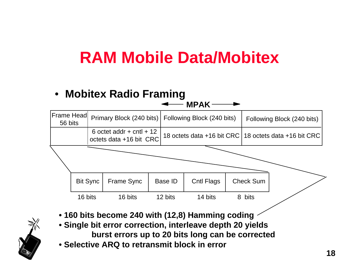#### • **Mobitex Radio Framing**



- **160 bits become 240 with (12,8) Hamming coding**
- **Single bit error correction, interleave depth 20 yields burst errors up to 20 bits long can be corrected**
- **Selective ARQ to retransmit block in error**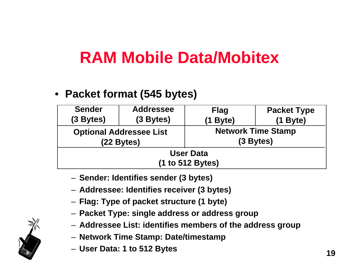### • **Packet format (545 bytes)**

| <b>Sender</b><br>$(3$ Bytes)         | <b>Addressee</b><br>(3 Bytes)                | <b>Flag</b><br>Byte)                     | <b>Packet Type</b><br>$(1$ Byte) |  |  |  |  |
|--------------------------------------|----------------------------------------------|------------------------------------------|----------------------------------|--|--|--|--|
|                                      | <b>Optional Addressee List</b><br>(22 Bytes) | <b>Network Time Stamp</b><br>$(3$ Bytes) |                                  |  |  |  |  |
| <b>User Data</b><br>(1 to 512 Bytes) |                                              |                                          |                                  |  |  |  |  |

- **Sender: Identifies sender (3 bytes)**
- **Addressee: Identifies receiver (3 bytes)**
- **Flag: Type of packet structure (1 byte)**
- **Packet Type: single address or address group**
- **Addressee List: identifies members of the address group**
- **Network Time Stamp: Date/timestamp**
- **User Data: 1 to 512 Bytes**

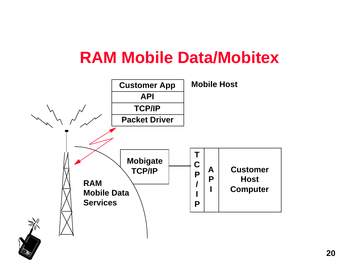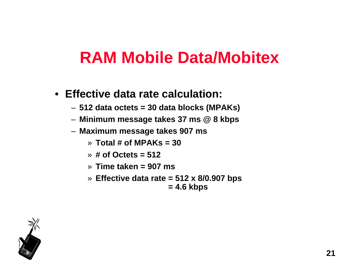- **Effective data rate calculation:**
	- **512 data octets = 30 data blocks (MPAKs)**
	- **Minimum message takes 37 ms @ 8 kbps**
	- **Maximum message takes 907 ms**
		- » **Total # of MPAKs = 30**
		- » **# of Octets = 512**
		- » **Time taken = 907 ms**
		- » **Effective data rate = 512 x 8/0.907 bps = 4.6 kbps**

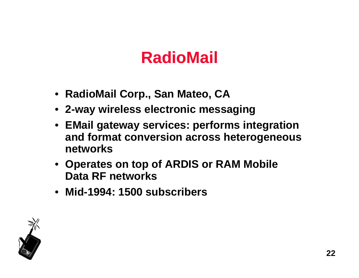## **RadioMail**

- **RadioMail Corp., San Mateo, CA**
- **2-way wireless electronic messaging**
- **EMail gateway services: performs integration and format conversion across heterogeneous networks**
- **Operates on top of ARDIS or RAM Mobile Data RF networks**
- **Mid-1994: 1500 subscribers**

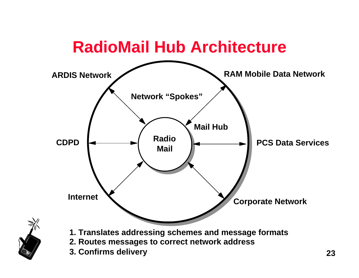

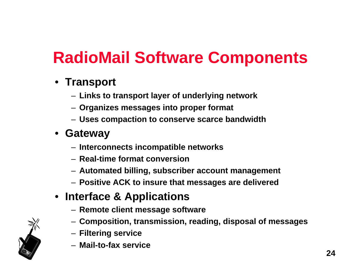# **RadioMail Software Components**

### • **Transport**

- **Links to transport layer of underlying network**
- **Organizes messages into proper format**
- **Uses compaction to conserve scarce bandwidth**

### • **Gateway**

- **Interconnects incompatible networks**
- **Real-time format conversion**
- **Automated billing, subscriber account management**
- **Positive ACK to insure that messages are delivered**

### • **Interface & Applications**

- **Remote client message software**
- **Composition, transmission, reading, disposal of messages**
- **Filtering service**
- **Mail-to-fax service**

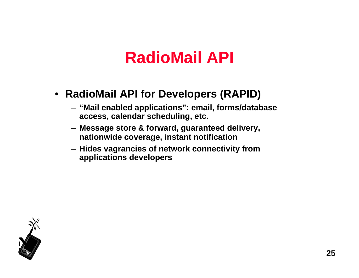## **RadioMail API**

#### • **RadioMail API for Developers (RAPID)**

- **"Mail enabled applications": email, forms/database access, calendar scheduling, etc.**
- **Message store & forward, guaranteed delivery, nationwide coverage, instant notification**
- **Hides vagrancies of network connectivity from applications developers**

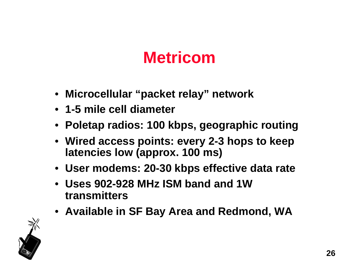# **Metricom**

- **Microcellular "packet relay" network**
- **1-5 mile cell diameter**
- **Poletap radios: 100 kbps, geographic routing**
- **Wired access points: every 2-3 hops to keep latencies low (approx. 100 ms)**
- **User modems: 20-30 kbps effective data rate**
- **Uses 902-928 MHz ISM band and 1W transmitters**
- **Available in SF Bay Area and Redmond, WA**